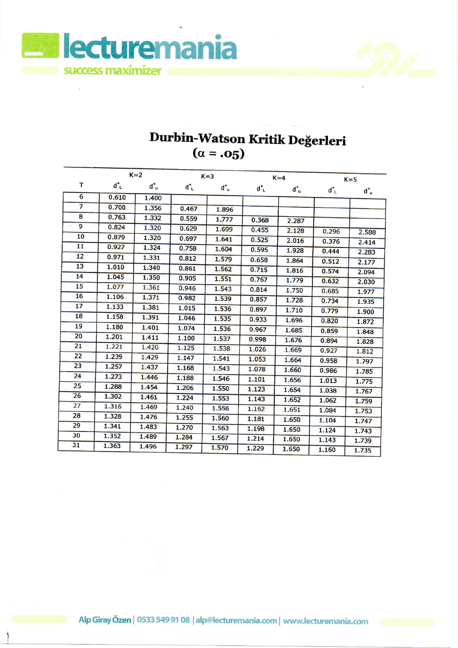

## **Durbin-Watson Kritik Degerleri**  $\alpha = .05$

|                |       | $K=2$ |                | $K=3$ | $K=4$         |                | $K = 5$        |                |
|----------------|-------|-------|----------------|-------|---------------|----------------|----------------|----------------|
| T              | ď.    | ď.    | $d^{\ast}_{L}$ | ď.    | $d^{\bullet}$ | $\mathbf{d}^*$ | $d^{\ast}_{L}$ | $d^*$          |
| 6              | 0.610 | 1.400 |                |       |               |                |                |                |
| $\overline{7}$ | 0.700 | 1.356 | 0.467          | 1.896 |               |                |                |                |
| 8              | 0.763 | 1.332 | 0.559          | 1.777 | 0.368         | 2.287          |                |                |
| 9              | 0.824 | 1.320 | 0.629          | 1.699 | 0.455         | 2.128          | 0.296          | 2.588          |
| 10             | 0.879 | 1.320 | 0.697          | 1.641 | 0.525         | 2.016          | 0.376          | 2.414          |
| 11             | 0.927 | 1.324 | 0.758          | 1.604 | 0.595         | 1.928          | 0.444          | 2.283          |
| 12             | 0.971 | 1.331 | 0.812          | 1.579 | 0.658         | 1.864          | 0.512          | 2.177          |
| 13             | 1.010 | 1.340 | 0.861          | 1.562 | 0.715         | 1.816          | 0.574          | 2.094          |
| 14             | 1.045 | 1.350 | 0.905          | 1.551 | 0.767         | 1.779          | 0.632          |                |
| 15             | 1.077 | 1.361 | 0.946          | 1.543 | 0.814         | 1.750          | 0.685          | 2.030<br>1.977 |
| 16             | 1.106 | 1.371 | 0.982          | 1.539 | 0.857         | 1.728          | 0.734          | 1.935          |
| 17             | 1.133 | 1.381 | 1.015          | 1.536 | 0.897         | 1.710          | 0.779          |                |
| 18             | 1.158 | 1.391 | 1.046          | 1.535 | 0.933         | 1.696          | 0.820          | 1.900<br>1.872 |
| 19             | 1.180 | 1.401 | 1.074          | 1.536 | 0.967         | 1.685          | 0.859          |                |
| 20             | 1.201 | 1.411 | 1.100          | 1.537 | 0.998         | 1.676          | 0.894          | 1.848          |
| 21             | 1.221 | 1.420 | 1.125          | 1.538 | 1.026         | 1.669          | 0.927          | 1.828<br>1.812 |
| 22             | 1.239 | 1.429 | 1.147          | 1.541 | 1.053         | 1.664          | 0.958          |                |
| 23             | 1.257 | 1.437 | 1.168          | 1.543 | 1.078         | 1.660          | 0.986          | 1.797          |
| 24             | 1.273 | 1.446 | 1.188          | 1.546 | 1.101         | 1.656          | 1.013          | 1.785          |
| 25             | 1.288 | 1.454 | 1.206          | 1.550 | 1.123         | 1.654          | 1.038          | 1.775          |
| 26             | 1.302 | 1.461 | 1.224          | 1.553 | 1.143         | 1.652          | 1.062          | 1.767          |
| 27             | 1.316 | 1.469 | 1.240          | 1.556 | 1.162         | 1.651          | 1.084          | 1.759          |
| 28             | 1.328 | 1.476 | 1.255          | 1.560 | 1.181         | 1.650          | 1.104          | 1.753          |
| 29             | 1.341 | 1.483 | 1.270          | 1.563 | 1.198         | 1.650          | 1.124          | 1.747          |
| 30             | 1.352 | 1.489 | 1.284          | 1.567 | 1.214         | 1.650          | 1.143          | 1.743          |
| 31             | 1.363 | 1.496 | 1.297          | 1.570 | 1.229         | 1.650          | 1.160          | 1.739<br>1.735 |
|                |       |       |                |       |               |                |                |                |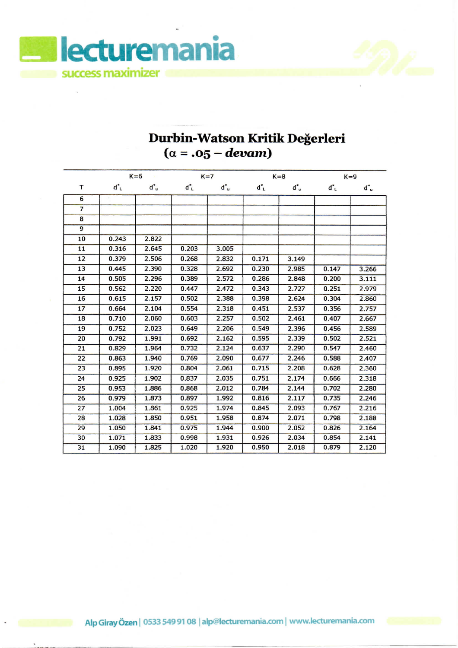

## **Durbin-Watson Kritik Degerleri (a = .05 —** *devam)*

|                | $K=6$ |       | $K=7$ |       | $K = 8$ |       | $K=9$ |       |
|----------------|-------|-------|-------|-------|---------|-------|-------|-------|
| т              | ď.    | ď.    | ďι    | ď.    | ďĽ      | ď.    | ďι    | ď.    |
| 6              |       |       |       |       |         |       |       |       |
| $\overline{7}$ |       |       |       |       |         |       |       |       |
| 8              |       |       |       |       |         |       |       |       |
| $\overline{9}$ |       |       |       |       |         |       |       |       |
| 10             | 0.243 | 2.822 |       |       |         |       |       |       |
| 11             | 0.316 | 2.645 | 0.203 | 3.005 |         |       |       |       |
| 12             | 0.379 | 2.506 | 0.268 | 2.832 | 0.171   | 3.149 |       |       |
| 13             | 0.445 | 2.390 | 0.328 | 2.692 | 0.230   | 2.985 | 0.147 | 3.266 |
| 14             | 0.505 | 2.296 | 0.389 | 2.572 | 0.286   | 2.848 | 0.200 | 3.111 |
| 15             | 0.562 | 2.220 | 0.447 | 2.472 | 0.343   | 2.727 | 0.251 | 2.979 |
| 16             | 0.615 | 2.157 | 0.502 | 2.388 | 0.398   | 2.624 | 0.304 | 2.860 |
| 17             | 0.664 | 2.104 | 0.554 | 2.318 | 0.451   | 2.537 | 0.356 | 2.757 |
| 18             | 0.710 | 2.060 | 0.603 | 2.257 | 0.502   | 2.461 | 0.407 | 2.667 |
| 19             | 0.752 | 2.023 | 0.649 | 2.206 | 0.549   | 2.396 | 0.456 | 2.589 |
| 20             | 0.792 | 1.991 | 0.692 | 2.162 | 0.595   | 2.339 | 0.502 | 2.521 |
| 21             | 0.829 | 1.964 | 0.732 | 2.124 | 0.637   | 2.290 | 0.547 | 2.460 |
| 22             | 0.863 | 1.940 | 0.769 | 2.090 | 0.677   | 2.246 | 0.588 | 2.407 |
| 23             | 0.895 | 1.920 | 0.804 | 2.061 | 0.715   | 2.208 | 0.628 | 2.360 |
| 24             | 0.925 | 1.902 | 0.837 | 2.035 | 0.751   | 2.174 | 0.666 | 2.318 |
| 25             | 0.953 | 1.886 | 0.868 | 2.012 | 0.784   | 2.144 | 0.702 | 2.280 |
| 26             | 0.979 | 1.873 | 0.897 | 1.992 | 0.816   | 2.117 | 0.735 | 2.246 |
| 27             | 1.004 | 1.861 | 0.925 | 1.974 | 0.845   | 2.093 | 0.767 | 2.216 |
| 28             | 1.028 | 1.850 | 0.951 | 1.958 | 0.874   | 2.071 | 0.798 | 2.188 |
| 29             | 1.050 | 1.841 | 0.975 | 1.944 | 0.900   | 2.052 | 0.826 | 2.164 |
| 30             | 1.071 | 1.833 | 0.998 | 1.931 | 0.926   | 2.034 | 0.854 | 2.141 |
| 31             | 1.090 | 1.825 | 1.020 | 1.920 | 0.950   | 2.018 | 0.879 | 2.120 |

Alp Giray Özen | 0533 549 91 08 | alp@lecturemania.com | www.lecturemania.com